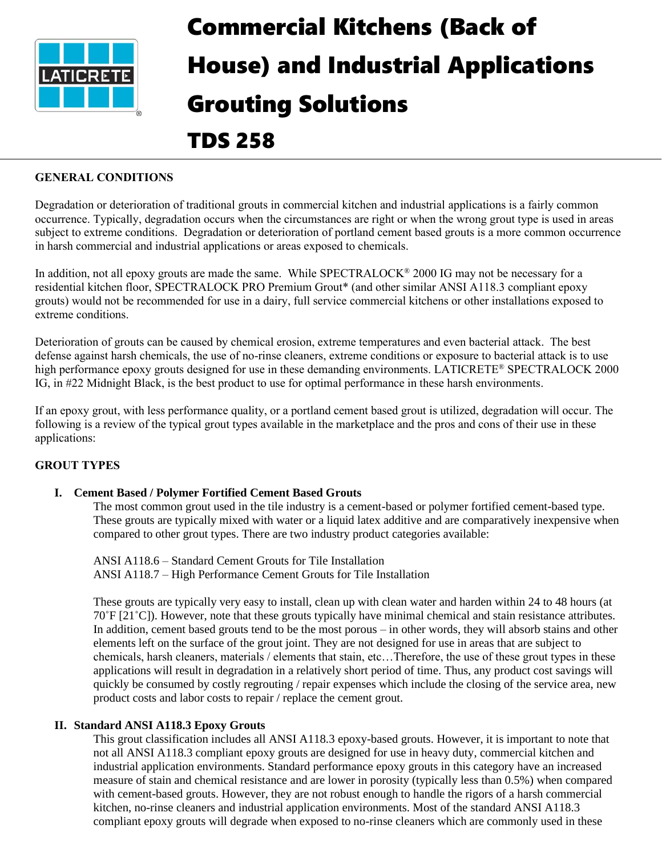

# Commercial Kitchens (Back of House) and Industrial Applications Grouting Solutions

# TDS 258

# **GENERAL CONDITIONS**

Degradation or deterioration of traditional grouts in commercial kitchen and industrial applications is a fairly common occurrence. Typically, degradation occurs when the circumstances are right or when the wrong grout type is used in areas subject to extreme conditions. Degradation or deterioration of portland cement based grouts is a more common occurrence in harsh commercial and industrial applications or areas exposed to chemicals.

In addition, not all epoxy grouts are made the same. While SPECTRALOCK<sup>®</sup> 2000 IG may not be necessary for a residential kitchen floor, SPECTRALOCK PRO Premium Grout\* (and other similar ANSI A118.3 compliant epoxy grouts) would not be recommended for use in a dairy, full service commercial kitchens or other installations exposed to extreme conditions.

Deterioration of grouts can be caused by chemical erosion, extreme temperatures and even bacterial attack. The best defense against harsh chemicals, the use of no-rinse cleaners, extreme conditions or exposure to bacterial attack is to use high performance epoxy grouts designed for use in these demanding environments. LATICRETE® SPECTRALOCK 2000 IG, in #22 Midnight Black, is the best product to use for optimal performance in these harsh environments.

If an epoxy grout, with less performance quality, or a portland cement based grout is utilized, degradation will occur. The following is a review of the typical grout types available in the marketplace and the pros and cons of their use in these applications:

## **GROUT TYPES**

#### **I. Cement Based / Polymer Fortified Cement Based Grouts**

The most common grout used in the tile industry is a cement-based or polymer fortified cement-based type. These grouts are typically mixed with water or a liquid latex additive and are comparatively inexpensive when compared to other grout types. There are two industry product categories available:

ANSI A118.6 – Standard Cement Grouts for Tile Installation ANSI A118.7 – High Performance Cement Grouts for Tile Installation

These grouts are typically very easy to install, clean up with clean water and harden within 24 to 48 hours (at 70˚F [21˚C]). However, note that these grouts typically have minimal chemical and stain resistance attributes. In addition, cement based grouts tend to be the most porous – in other words, they will absorb stains and other elements left on the surface of the grout joint. They are not designed for use in areas that are subject to chemicals, harsh cleaners, materials / elements that stain, etc…Therefore, the use of these grout types in these applications will result in degradation in a relatively short period of time. Thus, any product cost savings will quickly be consumed by costly regrouting / repair expenses which include the closing of the service area, new product costs and labor costs to repair / replace the cement grout.

#### **II. Standard ANSI A118.3 Epoxy Grouts**

This grout classification includes all ANSI A118.3 epoxy-based grouts. However, it is important to note that not all ANSI A118.3 compliant epoxy grouts are designed for use in heavy duty, commercial kitchen and industrial application environments. Standard performance epoxy grouts in this category have an increased measure of stain and chemical resistance and are lower in porosity (typically less than 0.5%) when compared with cement-based grouts. However, they are not robust enough to handle the rigors of a harsh commercial kitchen, no-rinse cleaners and industrial application environments. Most of the standard ANSI A118.3 compliant epoxy grouts will degrade when exposed to no-rinse cleaners which are commonly used in these